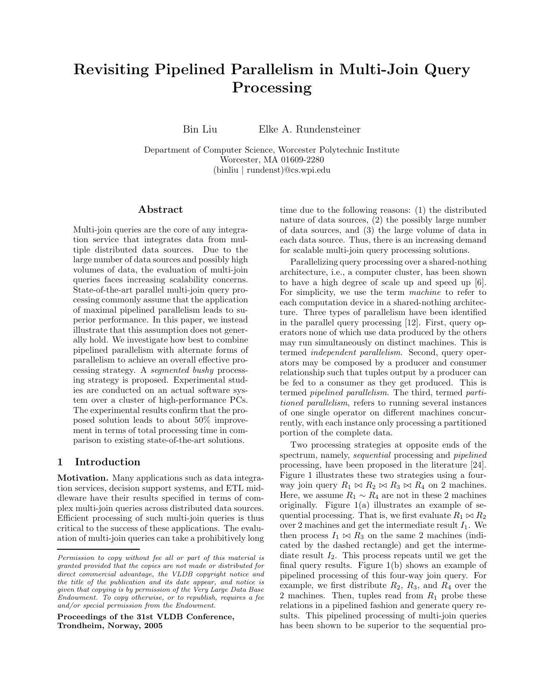# Revisiting Pipelined Parallelism in Multi-Join Query Processing

Bin Liu Elke A. Rundensteiner

Department of Computer Science, Worcester Polytechnic Institute Worcester, MA 01609-2280 (binliu | rundenst)@cs.wpi.edu

# Abstract

Multi-join queries are the core of any integration service that integrates data from multiple distributed data sources. Due to the large number of data sources and possibly high volumes of data, the evaluation of multi-join queries faces increasing scalability concerns. State-of-the-art parallel multi-join query processing commonly assume that the application of maximal pipelined parallelism leads to superior performance. In this paper, we instead illustrate that this assumption does not generally hold. We investigate how best to combine pipelined parallelism with alternate forms of parallelism to achieve an overall effective processing strategy. A segmented bushy processing strategy is proposed. Experimental studies are conducted on an actual software system over a cluster of high-performance PCs. The experimental results confirm that the proposed solution leads to about 50% improvement in terms of total processing time in comparison to existing state-of-the-art solutions.

# 1 Introduction

Motivation. Many applications such as data integration services, decision support systems, and ETL middleware have their results specified in terms of complex multi-join queries across distributed data sources. Efficient processing of such multi-join queries is thus critical to the success of these applications. The evaluation of multi-join queries can take a prohibitively long

Proceedings of the 31st VLDB Conference, Trondheim, Norway, 2005

time due to the following reasons: (1) the distributed nature of data sources, (2) the possibly large number of data sources, and (3) the large volume of data in each data source. Thus, there is an increasing demand for scalable multi-join query processing solutions.

Parallelizing query processing over a shared-nothing architecture, i.e., a computer cluster, has been shown to have a high degree of scale up and speed up [6]. For simplicity, we use the term machine to refer to each computation device in a shared-nothing architecture. Three types of parallelism have been identified in the parallel query processing [12]. First, query operators none of which use data produced by the others may run simultaneously on distinct machines. This is termed independent parallelism. Second, query operators may be composed by a producer and consumer relationship such that tuples output by a producer can be fed to a consumer as they get produced. This is termed pipelined parallelism. The third, termed partitioned parallelism, refers to running several instances of one single operator on different machines concurrently, with each instance only processing a partitioned portion of the complete data.

Two processing strategies at opposite ends of the spectrum, namely, *sequential* processing and *pipelined* processing, have been proposed in the literature [24]. Figure 1 illustrates these two strategies using a fourway join query  $R_1 \bowtie R_2 \bowtie R_3 \bowtie R_4$  on 2 machines. Here, we assume  $R_1 \sim R_4$  are not in these 2 machines originally. Figure 1(a) illustrates an example of sequential processing. That is, we first evaluate  $R_1 \bowtie R_2$ over 2 machines and get the intermediate result  $I_1$ . We then process  $I_1 \bowtie R_3$  on the same 2 machines (indicated by the dashed rectangle) and get the intermediate result  $I_2$ . This process repeats until we get the final query results. Figure 1(b) shows an example of pipelined processing of this four-way join query. For example, we first distribute  $R_2$ ,  $R_3$ , and  $R_4$  over the 2 machines. Then, tuples read from  $R_1$  probe these relations in a pipelined fashion and generate query results. This pipelined processing of multi-join queries has been shown to be superior to the sequential pro-

Permission to copy without fee all or part of this material is granted provided that the copies are not made or distributed for direct commercial advantage, the VLDB copyright notice and the title of the publication and its date appear, and notice is given that copying is by permission of the Very Large Data Base Endowment. To copy otherwise, or to republish, requires a fee and/or special permission from the Endowment.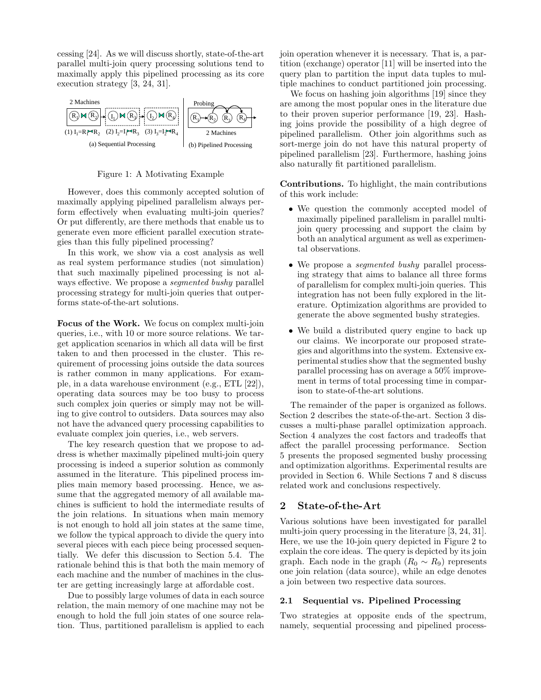cessing [24]. As we will discuss shortly, state-of-the-art parallel multi-join query processing solutions tend to maximally apply this pipelined processing as its core execution strategy [3, 24, 31].



Figure 1: A Motivating Example

However, does this commonly accepted solution of maximally applying pipelined parallelism always perform effectively when evaluating multi-join queries? Or put differently, are there methods that enable us to generate even more efficient parallel execution strategies than this fully pipelined processing?

In this work, we show via a cost analysis as well as real system performance studies (not simulation) that such maximally pipelined processing is not always effective. We propose a *segmented bushy* parallel processing strategy for multi-join queries that outperforms state-of-the-art solutions.

Focus of the Work. We focus on complex multi-join queries, i.e., with 10 or more source relations. We target application scenarios in which all data will be first taken to and then processed in the cluster. This requirement of processing joins outside the data sources is rather common in many applications. For example, in a data warehouse environment (e.g., ETL [22]), operating data sources may be too busy to process such complex join queries or simply may not be willing to give control to outsiders. Data sources may also not have the advanced query processing capabilities to evaluate complex join queries, i.e., web servers.

The key research question that we propose to address is whether maximally pipelined multi-join query processing is indeed a superior solution as commonly assumed in the literature. This pipelined process implies main memory based processing. Hence, we assume that the aggregated memory of all available machines is sufficient to hold the intermediate results of the join relations. In situations when main memory is not enough to hold all join states at the same time, we follow the typical approach to divide the query into several pieces with each piece being processed sequentially. We defer this discussion to Section 5.4. The rationale behind this is that both the main memory of each machine and the number of machines in the cluster are getting increasingly large at affordable cost.

Due to possibly large volumes of data in each source relation, the main memory of one machine may not be enough to hold the full join states of one source relation. Thus, partitioned parallelism is applied to each

join operation whenever it is necessary. That is, a partition (exchange) operator [11] will be inserted into the query plan to partition the input data tuples to multiple machines to conduct partitioned join processing.

We focus on hashing join algorithms [19] since they are among the most popular ones in the literature due to their proven superior performance [19, 23]. Hashing joins provide the possibility of a high degree of pipelined parallelism. Other join algorithms such as sort-merge join do not have this natural property of pipelined parallelism [23]. Furthermore, hashing joins also naturally fit partitioned parallelism.

Contributions. To highlight, the main contributions of this work include:

- We question the commonly accepted model of maximally pipelined parallelism in parallel multijoin query processing and support the claim by both an analytical argument as well as experimental observations.
- We propose a *segmented bushy* parallel processing strategy that aims to balance all three forms of parallelism for complex multi-join queries. This integration has not been fully explored in the literature. Optimization algorithms are provided to generate the above segmented bushy strategies.
- We build a distributed query engine to back up our claims. We incorporate our proposed strategies and algorithms into the system. Extensive experimental studies show that the segmented bushy parallel processing has on average a 50% improvement in terms of total processing time in comparison to state-of-the-art solutions.

The remainder of the paper is organized as follows. Section 2 describes the state-of-the-art. Section 3 discusses a multi-phase parallel optimization approach. Section 4 analyzes the cost factors and tradeoffs that affect the parallel processing performance. Section 5 presents the proposed segmented bushy processing and optimization algorithms. Experimental results are provided in Section 6. While Sections 7 and 8 discuss related work and conclusions respectively.

# 2 State-of-the-Art

Various solutions have been investigated for parallel multi-join query processing in the literature [3, 24, 31]. Here, we use the 10-join query depicted in Figure 2 to explain the core ideas. The query is depicted by its join graph. Each node in the graph  $(R_0 \sim R_9)$  represents one join relation (data source), while an edge denotes a join between two respective data sources.

# 2.1 Sequential vs. Pipelined Processing

Two strategies at opposite ends of the spectrum, namely, sequential processing and pipelined process-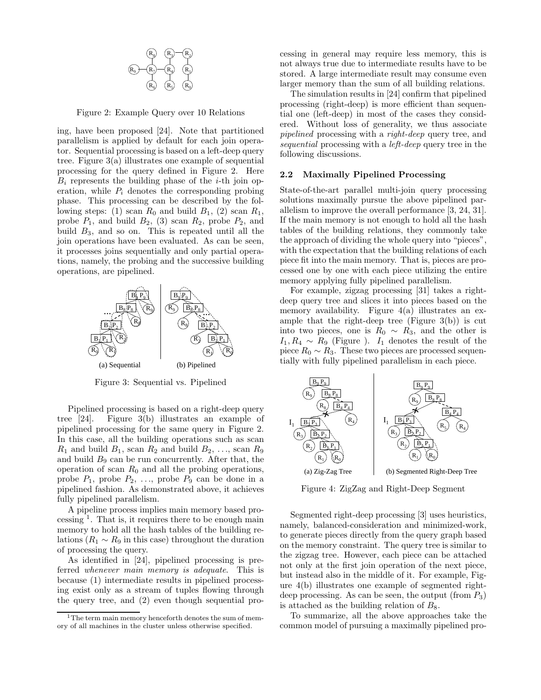

Figure 2: Example Query over 10 Relations

ing, have been proposed [24]. Note that partitioned parallelism is applied by default for each join operator. Sequential processing is based on a left-deep query tree. Figure 3(a) illustrates one example of sequential processing for the query defined in Figure 2. Here  $B_i$  represents the building phase of the *i*-th join operation, while  $P_i$  denotes the corresponding probing phase. This processing can be described by the following steps: (1) scan  $R_0$  and build  $B_1$ , (2) scan  $R_1$ , probe  $P_1$ , and build  $B_2$ , (3) scan  $R_2$ , probe  $P_2$ , and build  $B_3$ , and so on. This is repeated until all the join operations have been evaluated. As can be seen, it processes joins sequentially and only partial operations, namely, the probing and the successive building operations, are pipelined.



Figure 3: Sequential vs. Pipelined

Pipelined processing is based on a right-deep query tree [24]. Figure 3(b) illustrates an example of pipelined processing for the same query in Figure 2. In this case, all the building operations such as scan  $R_1$  and build  $B_1$ , scan  $R_2$  and build  $B_2$ , ..., scan  $R_9$ and build  $B_9$  can be run concurrently. After that, the operation of scan  $R_0$  and all the probing operations, probe  $P_1$ , probe  $P_2$ , ..., probe  $P_9$  can be done in a pipelined fashion. As demonstrated above, it achieves fully pipelined parallelism.

A pipeline process implies main memory based processing  $<sup>1</sup>$ . That is, it requires there to be enough main</sup> memory to hold all the hash tables of the building relations ( $R_1 \sim R_9$  in this case) throughout the duration of processing the query.

As identified in [24], pipelined processing is preferred whenever main memory is adequate. This is because (1) intermediate results in pipelined processing exist only as a stream of tuples flowing through the query tree, and (2) even though sequential processing in general may require less memory, this is not always true due to intermediate results have to be stored. A large intermediate result may consume even larger memory than the sum of all building relations.

The simulation results in [24] confirm that pipelined processing (right-deep) is more efficient than sequential one (left-deep) in most of the cases they considered. Without loss of generality, we thus associate pipelined processing with a right-deep query tree, and sequential processing with a left-deep query tree in the following discussions.

## 2.2 Maximally Pipelined Processing

State-of-the-art parallel multi-join query processing solutions maximally pursue the above pipelined parallelism to improve the overall performance [3, 24, 31]. If the main memory is not enough to hold all the hash tables of the building relations, they commonly take the approach of dividing the whole query into "pieces", with the expectation that the building relations of each piece fit into the main memory. That is, pieces are processed one by one with each piece utilizing the entire memory applying fully pipelined parallelism.

For example, zigzag processing [31] takes a rightdeep query tree and slices it into pieces based on the memory availability. Figure 4(a) illustrates an example that the right-deep tree (Figure  $3(b)$ ) is cut into two pieces, one is  $R_0 \sim R_3$ , and the other is  $I_1, R_4 \sim R_9$  (Figure ).  $I_1$  denotes the result of the piece  $R_0 \sim R_3$ . These two pieces are processed sequentially with fully pipelined parallelism in each piece.



Figure 4: ZigZag and Right-Deep Segment

Segmented right-deep processing [3] uses heuristics, namely, balanced-consideration and minimized-work, to generate pieces directly from the query graph based on the memory constraint. The query tree is similar to the zigzag tree. However, each piece can be attached not only at the first join operation of the next piece, but instead also in the middle of it. For example, Figure 4(b) illustrates one example of segmented rightdeep processing. As can be seen, the output (from  $P_3$ ) is attached as the building relation of  $B_8$ .

To summarize, all the above approaches take the common model of pursuing a maximally pipelined pro-

<sup>&</sup>lt;sup>1</sup>The term main memory henceforth denotes the sum of memory of all machines in the cluster unless otherwise specified.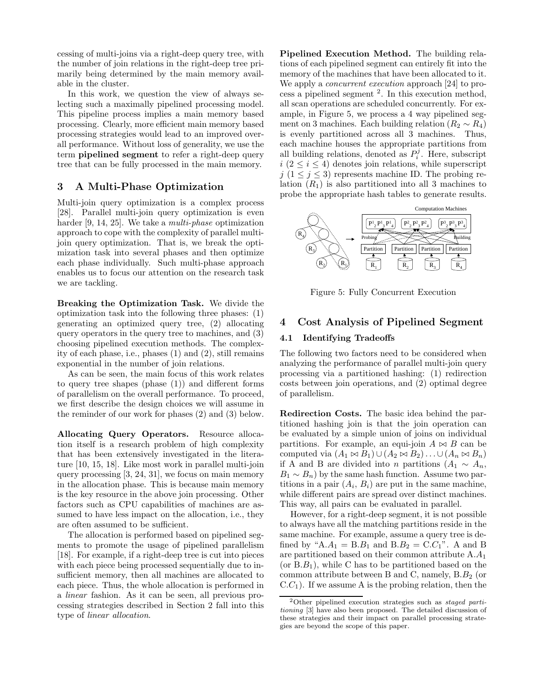cessing of multi-joins via a right-deep query tree, with the number of join relations in the right-deep tree primarily being determined by the main memory available in the cluster.

In this work, we question the view of always selecting such a maximally pipelined processing model. This pipeline process implies a main memory based processing. Clearly, more efficient main memory based processing strategies would lead to an improved overall performance. Without loss of generality, we use the term pipelined segment to refer a right-deep query tree that can be fully processed in the main memory.

# 3 A Multi-Phase Optimization

Multi-join query optimization is a complex process [28]. Parallel multi-join query optimization is even harder [9, 14, 25]. We take a *multi-phase* optimization approach to cope with the complexity of parallel multijoin query optimization. That is, we break the optimization task into several phases and then optimize each phase individually. Such multi-phase approach enables us to focus our attention on the research task we are tackling.

Breaking the Optimization Task. We divide the optimization task into the following three phases: (1) generating an optimized query tree, (2) allocating query operators in the query tree to machines, and (3) choosing pipelined execution methods. The complexity of each phase, i.e., phases (1) and (2), still remains exponential in the number of join relations.

As can be seen, the main focus of this work relates to query tree shapes (phase (1)) and different forms of parallelism on the overall performance. To proceed, we first describe the design choices we will assume in the reminder of our work for phases (2) and (3) below.

Allocating Query Operators. Resource allocation itself is a research problem of high complexity that has been extensively investigated in the literature [10, 15, 18]. Like most work in parallel multi-join query processing [3, 24, 31], we focus on main memory in the allocation phase. This is because main memory is the key resource in the above join processing. Other factors such as CPU capabilities of machines are assumed to have less impact on the allocation, i.e., they are often assumed to be sufficient.

The allocation is performed based on pipelined segments to promote the usage of pipelined parallelism [18]. For example, if a right-deep tree is cut into pieces with each piece being processed sequentially due to insufficient memory, then all machines are allocated to each piece. Thus, the whole allocation is performed in a linear fashion. As it can be seen, all previous processing strategies described in Section 2 fall into this type of linear allocation.

Pipelined Execution Method. The building relations of each pipelined segment can entirely fit into the memory of the machines that have been allocated to it. We apply a *concurrent execution* approach [24] to pro- $\cos s$  a pipelined segment  $^2$ . In this execution method, all scan operations are scheduled concurrently. For example, in Figure 5, we process a 4 way pipelined segment on 3 machines. Each building relation ( $R_2 \sim R_4$ ) is evenly partitioned across all 3 machines. Thus, each machine houses the appropriate partitions from all building relations, denoted as  $P_i^j$ . Here, subscript  $i (2 \leq i \leq 4)$  denotes join relations, while superscript j  $(1 \leq j \leq 3)$  represents machine ID. The probing relation  $(R_1)$  is also partitioned into all 3 machines to probe the appropriate hash tables to generate results.



Figure 5: Fully Concurrent Execution

# 4 Cost Analysis of Pipelined Segment

## 4.1 Identifying Tradeoffs

The following two factors need to be considered when analyzing the performance of parallel multi-join query processing via a partitioned hashing: (1) redirection costs between join operations, and (2) optimal degree of parallelism.

Redirection Costs. The basic idea behind the partitioned hashing join is that the join operation can be evaluated by a simple union of joins on individual partitions. For example, an equi-join  $A \bowtie B$  can be computed via  $(A_1 \bowtie B_1) \cup (A_2 \bowtie B_2) \ldots \cup (A_n \bowtie B_n)$ if A and B are divided into n partitions  $(A_1 \sim A_n,$  $B_1 \sim B_n$ ) by the same hash function. Assume two partitions in a pair  $(A_i, B_i)$  are put in the same machine, while different pairs are spread over distinct machines. This way, all pairs can be evaluated in parallel.

However, for a right-deep segment, it is not possible to always have all the matching partitions reside in the same machine. For example, assume a query tree is defined by " $A.A_1 = B.B_1$  and  $B.B_2 = C.C_1$ ". A and B are partitioned based on their common attribute  $A.A_1$ (or  $B.B<sub>1</sub>$ ), while C has to be partitioned based on the common attribute between B and C, namely,  $B.B_2$  (or  $C.C<sub>1</sub>$ ). If we assume A is the probing relation, then the

 $2$ Other pipelined execution strategies such as staged partitioning [3] have also been proposed. The detailed discussion of these strategies and their impact on parallel processing strategies are beyond the scope of this paper.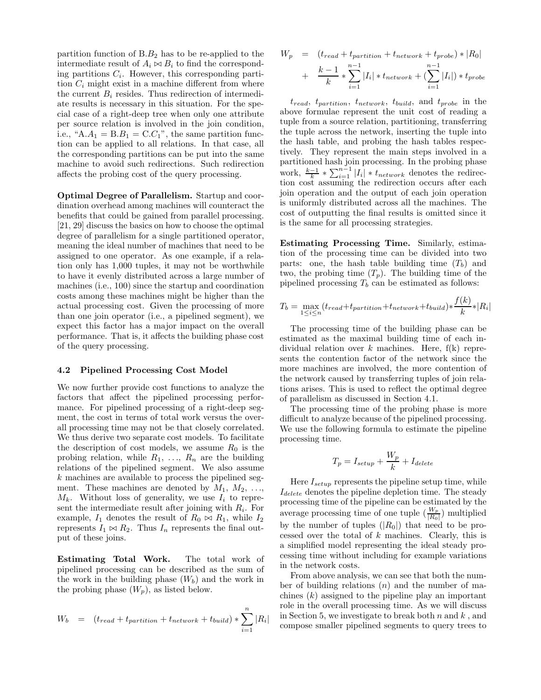partition function of  $B.B_2$  has to be re-applied to the intermediate result of  $A_i \Join B_i$  to find the corresponding partitions  $C_i$ . However, this corresponding partition  $C_i$  might exist in a machine different from where the current  $B_i$  resides. Thus redirection of intermediate results is necessary in this situation. For the special case of a right-deep tree when only one attribute per source relation is involved in the join condition, i.e., " $A.A_1 = B.B_1 = C.C_1$ ", the same partition function can be applied to all relations. In that case, all the corresponding partitions can be put into the same machine to avoid such redirections. Such redirection affects the probing cost of the query processing.

Optimal Degree of Parallelism. Startup and coordination overhead among machines will counteract the benefits that could be gained from parallel processing. [21, 29] discuss the basics on how to choose the optimal degree of parallelism for a single partitioned operator, meaning the ideal number of machines that need to be assigned to one operator. As one example, if a relation only has 1,000 tuples, it may not be worthwhile to have it evenly distributed across a large number of machines (i.e., 100) since the startup and coordination costs among these machines might be higher than the actual processing cost. Given the processing of more than one join operator (i.e., a pipelined segment), we expect this factor has a major impact on the overall performance. That is, it affects the building phase cost of the query processing.

#### 4.2 Pipelined Processing Cost Model

We now further provide cost functions to analyze the factors that affect the pipelined processing performance. For pipelined processing of a right-deep segment, the cost in terms of total work versus the overall processing time may not be that closely correlated. We thus derive two separate cost models. To facilitate the description of cost models, we assume  $R_0$  is the probing relation, while  $R_1, \ldots, R_n$  are the building relations of the pipelined segment. We also assume k machines are available to process the pipelined segment. These machines are denoted by  $M_1, M_2, \ldots$ ,  $M_k$ . Without loss of generality, we use  $I_i$  to represent the intermediate result after joining with  $R_i$ . For example,  $I_1$  denotes the result of  $R_0 \bowtie R_1$ , while  $I_2$ represents  $I_1 \bowtie R_2$ . Thus  $I_n$  represents the final output of these joins.

Estimating Total Work. The total work of pipelined processing can be described as the sum of the work in the building phase  $(W_b)$  and the work in the probing phase  $(W_n)$ , as listed below.

$$
W_b = (t_{read} + t_{partition} + t_{network} + t_{build}) * \sum_{i=1}^{n} |R_i
$$

|

$$
W_p = (t_{read} + t_{partition} + t_{network} + t_{probe}) * |R_0|
$$
  
+  $\frac{k-1}{k} * \sum_{i=1}^{n-1} |I_i| * t_{network} + (\sum_{i=1}^{n-1} |I_i|) * t_{probe}$ 

 $t_{read}$ ,  $t_{partition}$ ,  $t_{network}$ ,  $t_{build}$ , and  $t_{probe}$  in the above formulae represent the unit cost of reading a tuple from a source relation, partitioning, transferring the tuple across the network, inserting the tuple into the hash table, and probing the hash tables respectively. They represent the main steps involved in a partitioned hash join processing. In the probing phase work,  $\frac{k-1}{k} * \sum_{i=1}^{n-1} |I_i| * t_{network}$  denotes the redirection cost assuming the redirection occurs after each join operation and the output of each join operation is uniformly distributed across all the machines. The cost of outputting the final results is omitted since it is the same for all processing strategies.

Estimating Processing Time. Similarly, estimation of the processing time can be divided into two parts: one, the hash table building time  $(T_b)$  and two, the probing time  $(T_n)$ . The building time of the pipelined processing  $T_b$  can be estimated as follows:

$$
T_b = \max_{1 \le i \le n} (t_{read} + t_{partition} + t_{network} + t_{build}) \times \frac{f(k)}{k} \times |R_i|
$$

The processing time of the building phase can be estimated as the maximal building time of each individual relation over  $k$  machines. Here,  $f(k)$  represents the contention factor of the network since the more machines are involved, the more contention of the network caused by transferring tuples of join relations arises. This is used to reflect the optimal degree of parallelism as discussed in Section 4.1.

The processing time of the probing phase is more difficult to analyze because of the pipelined processing. We use the following formula to estimate the pipeline processing time.

$$
T_p = I_{setup} + \frac{W_p}{k} + I_{delete}
$$

Here  $I_{setup}$  represents the pipeline setup time, while  $I_{delete}$  denotes the pipeline depletion time. The steady processing time of the pipeline can be estimated by the average processing time of one tuple  $(\frac{W_p}{|R_0|})$  multiplied by the number of tuples  $(|R_0|)$  that need to be processed over the total of  $k$  machines. Clearly, this is a simplified model representing the ideal steady processing time without including for example variations in the network costs.

From above analysis, we can see that both the number of building relations  $(n)$  and the number of machines  $(k)$  assigned to the pipeline play an important role in the overall processing time. As we will discuss in Section 5, we investigate to break both  $n$  and  $k$ , and compose smaller pipelined segments to query trees to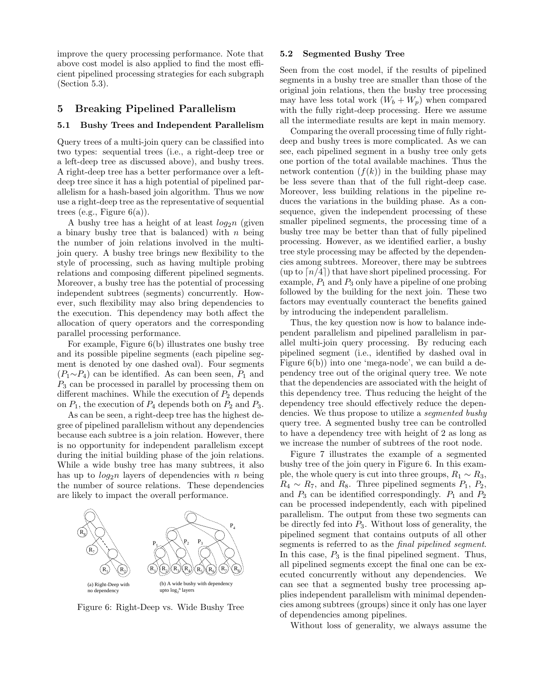improve the query processing performance. Note that above cost model is also applied to find the most efficient pipelined processing strategies for each subgraph (Section 5.3).

# 5 Breaking Pipelined Parallelism

## 5.1 Bushy Trees and Independent Parallelism

Query trees of a multi-join query can be classified into two types: sequential trees (i.e., a right-deep tree or a left-deep tree as discussed above), and bushy trees. A right-deep tree has a better performance over a leftdeep tree since it has a high potential of pipelined parallelism for a hash-based join algorithm. Thus we now use a right-deep tree as the representative of sequential trees (e.g., Figure  $6(a)$ ).

A bushy tree has a height of at least  $log_2 n$  (given a binary bushy tree that is balanced) with  $n$  being the number of join relations involved in the multijoin query. A bushy tree brings new flexibility to the style of processing, such as having multiple probing relations and composing different pipelined segments. Moreover, a bushy tree has the potential of processing independent subtrees (segments) concurrently. However, such flexibility may also bring dependencies to the execution. This dependency may both affect the allocation of query operators and the corresponding parallel processing performance.

For example, Figure 6(b) illustrates one bushy tree and its possible pipeline segments (each pipeline segment is denoted by one dashed oval). Four segments  $(P_1 \sim P_4)$  can be identified. As can been seen,  $P_1$  and  $P_3$  can be processed in parallel by processing them on different machines. While the execution of  $P_2$  depends on  $P_1$ , the execution of  $P_4$  depends both on  $P_2$  and  $P_3$ .

As can be seen, a right-deep tree has the highest degree of pipelined parallelism without any dependencies because each subtree is a join relation. However, there is no opportunity for independent parallelism except during the initial building phase of the join relations. While a wide bushy tree has many subtrees, it also has up to  $log_2 n$  layers of dependencies with n being the number of source relations. These dependencies are likely to impact the overall performance.



Figure 6: Right-Deep vs. Wide Bushy Tree

## 5.2 Segmented Bushy Tree

Seen from the cost model, if the results of pipelined segments in a bushy tree are smaller than those of the original join relations, then the bushy tree processing may have less total work  $(W_b + W_p)$  when compared with the fully right-deep processing. Here we assume all the intermediate results are kept in main memory.

Comparing the overall processing time of fully rightdeep and bushy trees is more complicated. As we can see, each pipelined segment in a bushy tree only gets one portion of the total available machines. Thus the network contention  $(f(k))$  in the building phase may be less severe than that of the full right-deep case. Moreover, less building relations in the pipeline reduces the variations in the building phase. As a consequence, given the independent processing of these smaller pipelined segments, the processing time of a bushy tree may be better than that of fully pipelined processing. However, as we identified earlier, a bushy tree style processing may be affected by the dependencies among subtrees. Moreover, there may be subtrees  $(\text{up to } [n/4])$  that have short pipelined processing. For example,  $P_1$  and  $P_3$  only have a pipeline of one probing followed by the building for the next join. These two factors may eventually counteract the benefits gained by introducing the independent parallelism.

Thus, the key question now is how to balance independent parallelism and pipelined parallelism in parallel multi-join query processing. By reducing each pipelined segment (i.e., identified by dashed oval in Figure 6(b)) into one 'mega-node', we can build a dependency tree out of the original query tree. We note that the dependencies are associated with the height of this dependency tree. Thus reducing the height of the dependency tree should effectively reduce the dependencies. We thus propose to utilize a segmented bushy query tree. A segmented bushy tree can be controlled to have a dependency tree with height of 2 as long as we increase the number of subtrees of the root node.

Figure 7 illustrates the example of a segmented bushy tree of the join query in Figure 6. In this example, the whole query is cut into three groups,  $R_1 \sim R_3$ ,  $R_4 \sim R_7$ , and  $R_8$ . Three pipelined segments  $P_1$ ,  $P_2$ , and  $P_3$  can be identified correspondingly.  $P_1$  and  $P_2$ can be processed independently, each with pipelined parallelism. The output from these two segments can be directly fed into  $P_3$ . Without loss of generality, the pipelined segment that contains outputs of all other segments is referred to as the final pipelined segment. In this case,  $P_3$  is the final pipelined segment. Thus, all pipelined segments except the final one can be executed concurrently without any dependencies. We can see that a segmented bushy tree processing applies independent parallelism with minimal dependencies among subtrees (groups) since it only has one layer of dependencies among pipelines.

Without loss of generality, we always assume the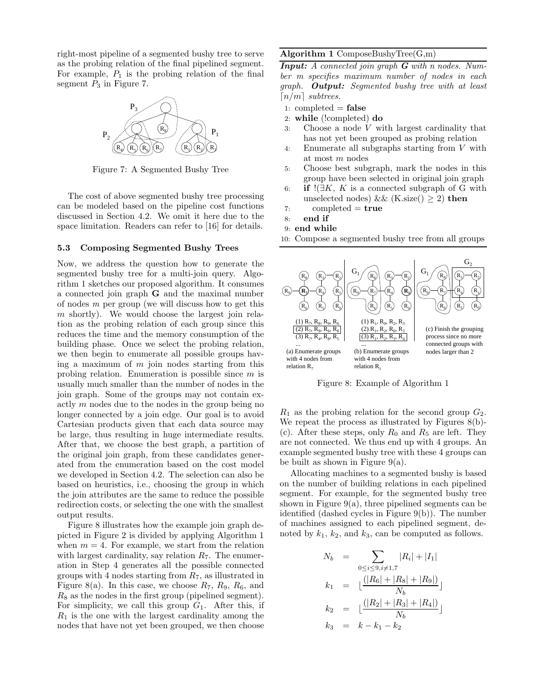right-most pipeline of a segmented bushy tree to serve as the probing relation of the final pipelined segment. For example,  $P_1$  is the probing relation of the final segment  $P_3$  in Figure 7.



Figure 7: A Segmented Bushy Tree

The cost of above segmented bushy tree processing can be modeled based on the pipeline cost functions discussed in Section 4.2. We omit it here due to the space limitation. Readers can refer to [16] for details.

## 5.3 Composing Segmented Bushy Trees

Now, we address the question how to generate the segmented bushy tree for a multi-join query. Algorithm 1 sketches our proposed algorithm. It consumes a connected join graph G and the maximal number of nodes m per group (we will discuss how to get this  $m$  shortly). We would choose the largest join relation as the probing relation of each group since this reduces the time and the memory consumption of the building phase. Once we select the probing relation, we then begin to enumerate all possible groups having a maximum of  $m$  join nodes starting from this probing relation. Enumeration is possible since  $m$  is usually much smaller than the number of nodes in the join graph. Some of the groups may not contain exactly  $m$  nodes due to the nodes in the group being no longer connected by a join edge. Our goal is to avoid Cartesian products given that each data source may be large, thus resulting in huge intermediate results. After that, we choose the best graph, a partition of the original join graph, from these candidates generated from the enumeration based on the cost model we developed in Section 4.2. The selection can also be based on heuristics, i.e., choosing the group in which the join attributes are the same to reduce the possible redirection costs, or selecting the one with the smallest output results.

Figure 8 illustrates how the example join graph depicted in Figure 2 is divided by applying Algorithm 1 when  $m = 4$ . For example, we start from the relation with largest cardinality, say relation  $R_7$ . The enumeration in Step 4 generates all the possible connected groups with 4 nodes starting from  $R_7$ , as illustrated in Figure 8(a). In this case, we choose  $R_7$ ,  $R_9$ ,  $R_6$ , and  $R_8$  as the nodes in the first group (pipelined segment). For simplicity, we call this group  $G_1$ . After this, if  $R_1$  is the one with the largest cardinality among the nodes that have not yet been grouped, we then choose

# Algorithm 1 ComposeBushyTree( $G,m$ )

 $\overline{\textbf{Input: A connected join graph G with n nodes. Num-}$ ber m specifies maximum number of nodes in each graph. **Output:** Segmented bushy tree with at least  $\lceil n/m \rceil$  subtrees.

- 1: completed  $=$  false
- 2: while (!completed) do
- 3: Choose a node  $V$  with largest cardinality that has not yet been grouped as probing relation
- 4: Enumerate all subgraphs starting from V with at most m nodes
- 5: Choose best subgraph, mark the nodes in this group have been selected in original join graph
- 6: if  $\mathbb{I}(\exists K, K \text{ is a connected subgraph of } G \text{ with }$ unselected nodes) && (K.size()  $\geq$  2) then
- 7: completed  $=$  true
- 8: end if
- 9: end while

10: Compose a segmented bushy tree from all groups



Figure 8: Example of Algorithm 1

 $R_1$  as the probing relation for the second group  $G_2$ . We repeat the process as illustrated by Figures 8(b)- (c). After these steps, only  $R_0$  and  $R_5$  are left. They are not connected. We thus end up with 4 groups. An example segmented bushy tree with these 4 groups can be built as shown in Figure 9(a).

Allocating machines to a segmented bushy is based on the number of building relations in each pipelined segment. For example, for the segmented bushy tree shown in Figure  $9(a)$ , three pipelined segments can be identified (dashed cycles in Figure 9(b)). The number of machines assigned to each pipelined segment, denoted by  $k_1$ ,  $k_2$ , and  $k_3$ , can be computed as follows.

$$
N_b = \sum_{0 \le i \le 9, i \ne 1,7} |R_i| + |I_1|
$$
  
\n
$$
k_1 = \lfloor \frac{(|R_6| + |R_8| + |R_9|)}{N_b} \rfloor
$$
  
\n
$$
k_2 = \lfloor \frac{(|R_2| + |R_3| + |R_4|)}{N_b} \rfloor
$$
  
\n
$$
k_3 = k - k_1 - k_2
$$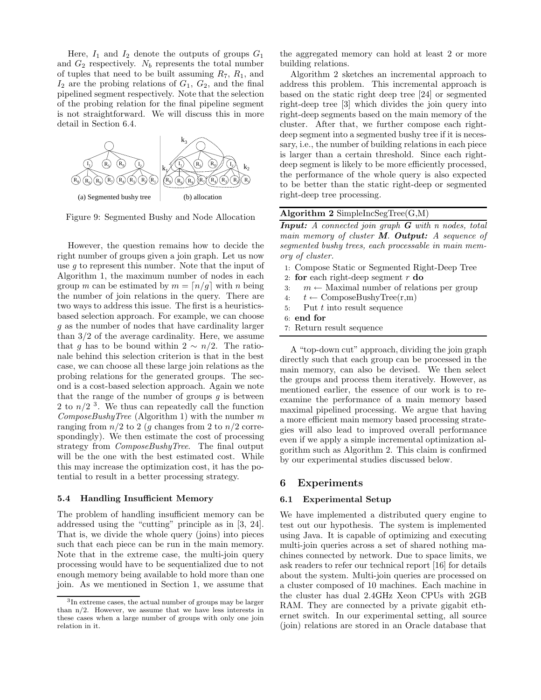Here,  $I_1$  and  $I_2$  denote the outputs of groups  $G_1$ and  $G_2$  respectively.  $N_b$  represents the total number of tuples that need to be built assuming  $R_7$ ,  $R_1$ , and  $I_2$  are the probing relations of  $G_1, G_2$ , and the final pipelined segment respectively. Note that the selection of the probing relation for the final pipeline segment is not straightforward. We will discuss this in more detail in Section 6.4.



Figure 9: Segmented Bushy and Node Allocation

However, the question remains how to decide the right number of groups given a join graph. Let us now use g to represent this number. Note that the input of Algorithm 1, the maximum number of nodes in each group m can be estimated by  $m = \lfloor n/g \rfloor$  with n being the number of join relations in the query. There are two ways to address this issue. The first is a heuristicsbased selection approach. For example, we can choose g as the number of nodes that have cardinality larger than  $3/2$  of the average cardinality. Here, we assume that g has to be bound within  $2 \sim n/2$ . The rationale behind this selection criterion is that in the best case, we can choose all these large join relations as the probing relations for the generated groups. The second is a cost-based selection approach. Again we note that the range of the number of groups  $q$  is between 2 to  $n/2$ <sup>3</sup>. We thus can repeatedly call the function  $ComposeBushyTree$  (Algorithm 1) with the number m ranging from  $n/2$  to 2 (q changes from 2 to  $n/2$  correspondingly). We then estimate the cost of processing strategy from  $ComposeBushyTree$ . The final output will be the one with the best estimated cost. While this may increase the optimization cost, it has the potential to result in a better processing strategy.

#### 5.4 Handling Insufficient Memory

The problem of handling insufficient memory can be addressed using the "cutting" principle as in [3, 24]. That is, we divide the whole query (joins) into pieces such that each piece can be run in the main memory. Note that in the extreme case, the multi-join query processing would have to be sequentialized due to not enough memory being available to hold more than one join. As we mentioned in Section 1, we assume that the aggregated memory can hold at least 2 or more building relations.

Algorithm 2 sketches an incremental approach to address this problem. This incremental approach is based on the static right deep tree [24] or segmented right-deep tree [3] which divides the join query into right-deep segments based on the main memory of the cluster. After that, we further compose each rightdeep segment into a segmented bushy tree if it is necessary, i.e., the number of building relations in each piece is larger than a certain threshold. Since each rightdeep segment is likely to be more efficiently processed, the performance of the whole query is also expected to be better than the static right-deep or segmented right-deep tree processing.

# Algorithm  $2$  SimpleIncSegTree(G,M)

**Input:** A connected join graph  $G$  with n nodes, total main memory of cluster  $M$ . Output: A sequence of segmented bushy trees, each processable in main memory of cluster.

- 1: Compose Static or Segmented Right-Deep Tree
- 2: for each right-deep segment  $r$  do
- 3:  $m \leftarrow$  Maximal number of relations per group
- 4:  $t \leftarrow \text{ComposeBushyTree}(r,m)$
- 5: Put  $t$  into result sequence
- 6: end for
- 7: Return result sequence

A "top-down cut" approach, dividing the join graph directly such that each group can be processed in the main memory, can also be devised. We then select the groups and process them iteratively. However, as mentioned earlier, the essence of our work is to reexamine the performance of a main memory based maximal pipelined processing. We argue that having a more efficient main memory based processing strategies will also lead to improved overall performance even if we apply a simple incremental optimization algorithm such as Algorithm 2. This claim is confirmed by our experimental studies discussed below.

# 6 Experiments

## 6.1 Experimental Setup

We have implemented a distributed query engine to test out our hypothesis. The system is implemented using Java. It is capable of optimizing and executing multi-join queries across a set of shared nothing machines connected by network. Due to space limits, we ask readers to refer our technical report [16] for details about the system. Multi-join queries are processed on a cluster composed of 10 machines. Each machine in the cluster has dual 2.4GHz Xeon CPUs with 2GB RAM. They are connected by a private gigabit ethernet switch. In our experimental setting, all source (join) relations are stored in an Oracle database that

<sup>3</sup> In extreme cases, the actual number of groups may be larger than n/2. However, we assume that we have less interests in these cases when a large number of groups with only one join relation in it.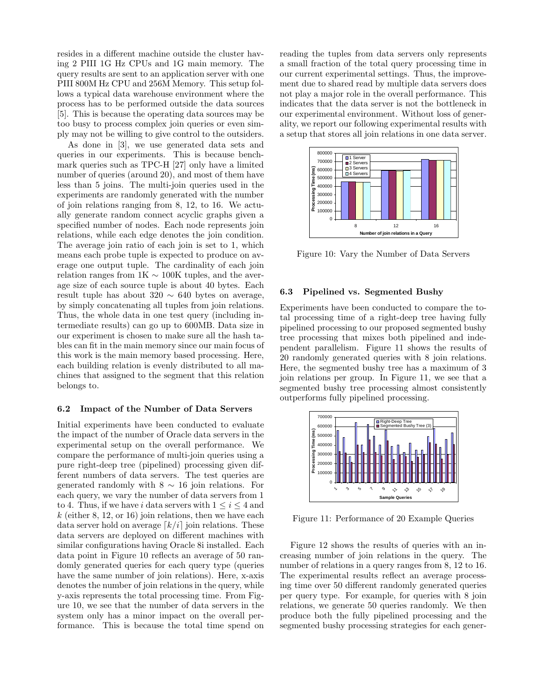resides in a different machine outside the cluster having 2 PIII 1G Hz CPUs and 1G main memory. The query results are sent to an application server with one PIII 800M Hz CPU and 256M Memory. This setup follows a typical data warehouse environment where the process has to be performed outside the data sources [5]. This is because the operating data sources may be too busy to process complex join queries or even simply may not be willing to give control to the outsiders.

As done in [3], we use generated data sets and queries in our experiments. This is because benchmark queries such as TPC-H [27] only have a limited number of queries (around 20), and most of them have less than 5 joins. The multi-join queries used in the experiments are randomly generated with the number of join relations ranging from 8, 12, to 16. We actually generate random connect acyclic graphs given a specified number of nodes. Each node represents join relations, while each edge denotes the join condition. The average join ratio of each join is set to 1, which means each probe tuple is expected to produce on average one output tuple. The cardinality of each join relation ranges from  $1K \sim 100K$  tuples, and the average size of each source tuple is about 40 bytes. Each result tuple has about  $320 \sim 640$  bytes on average, by simply concatenating all tuples from join relations. Thus, the whole data in one test query (including intermediate results) can go up to 600MB. Data size in our experiment is chosen to make sure all the hash tables can fit in the main memory since our main focus of this work is the main memory based processing. Here, each building relation is evenly distributed to all machines that assigned to the segment that this relation belongs to.

## 6.2 Impact of the Number of Data Servers

Initial experiments have been conducted to evaluate the impact of the number of Oracle data servers in the experimental setup on the overall performance. We compare the performance of multi-join queries using a pure right-deep tree (pipelined) processing given different numbers of data servers. The test queries are generated randomly with  $8 \sim 16$  join relations. For each query, we vary the number of data servers from 1 to 4. Thus, if we have i data servers with  $1 \leq i \leq 4$  and  $k$  (either 8, 12, or 16) join relations, then we have each data server hold on average  $\lceil k/i \rceil$  join relations. These data servers are deployed on different machines with similar configurations having Oracle 8i installed. Each data point in Figure 10 reflects an average of 50 randomly generated queries for each query type (queries have the same number of join relations). Here, x-axis denotes the number of join relations in the query, while y-axis represents the total processing time. From Figure 10, we see that the number of data servers in the system only has a minor impact on the overall performance. This is because the total time spend on reading the tuples from data servers only represents a small fraction of the total query processing time in our current experimental settings. Thus, the improvement due to shared read by multiple data servers does not play a major role in the overall performance. This indicates that the data server is not the bottleneck in our experimental environment. Without loss of generality, we report our following experimental results with a setup that stores all join relations in one data server.



Figure 10: Vary the Number of Data Servers

## 6.3 Pipelined vs. Segmented Bushy

Experiments have been conducted to compare the total processing time of a right-deep tree having fully pipelined processing to our proposed segmented bushy tree processing that mixes both pipelined and independent parallelism. Figure 11 shows the results of 20 randomly generated queries with 8 join relations. Here, the segmented bushy tree has a maximum of 3 join relations per group. In Figure 11, we see that a segmented bushy tree processing almost consistently outperforms fully pipelined processing.



Figure 11: Performance of 20 Example Queries

Figure 12 shows the results of queries with an increasing number of join relations in the query. The number of relations in a query ranges from 8, 12 to 16. The experimental results reflect an average processing time over 50 different randomly generated queries per query type. For example, for queries with 8 join relations, we generate 50 queries randomly. We then produce both the fully pipelined processing and the segmented bushy processing strategies for each gener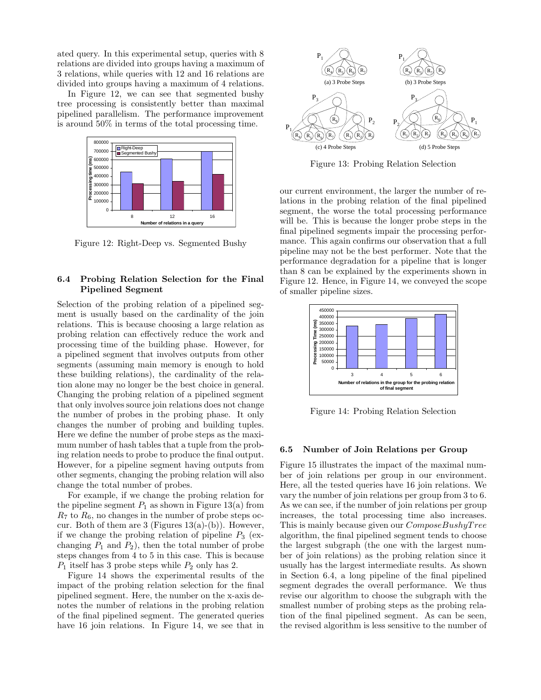ated query. In this experimental setup, queries with 8 relations are divided into groups having a maximum of 3 relations, while queries with 12 and 16 relations are divided into groups having a maximum of 4 relations.

In Figure 12, we can see that segmented bushy tree processing is consistently better than maximal pipelined parallelism. The performance improvement is around 50% in terms of the total processing time.



Figure 12: Right-Deep vs. Segmented Bushy

# 6.4 Probing Relation Selection for the Final Pipelined Segment

Selection of the probing relation of a pipelined segment is usually based on the cardinality of the join relations. This is because choosing a large relation as probing relation can effectively reduce the work and processing time of the building phase. However, for a pipelined segment that involves outputs from other segments (assuming main memory is enough to hold these building relations), the cardinality of the relation alone may no longer be the best choice in general. Changing the probing relation of a pipelined segment that only involves source join relations does not change the number of probes in the probing phase. It only changes the number of probing and building tuples. Here we define the number of probe steps as the maximum number of hash tables that a tuple from the probing relation needs to probe to produce the final output. However, for a pipeline segment having outputs from other segments, changing the probing relation will also change the total number of probes.

For example, if we change the probing relation for the pipeline segment  $P_1$  as shown in Figure 13(a) from  $R_7$  to  $R_6$ , no changes in the number of probe steps occur. Both of them are 3 (Figures  $13(a)-(b)$ ). However, if we change the probing relation of pipeline  $P_3$  (exchanging  $P_1$  and  $P_2$ ), then the total number of probe steps changes from 4 to 5 in this case. This is because  $P_1$  itself has 3 probe steps while  $P_2$  only has 2.

Figure 14 shows the experimental results of the impact of the probing relation selection for the final pipelined segment. Here, the number on the x-axis denotes the number of relations in the probing relation of the final pipelined segment. The generated queries have 16 join relations. In Figure 14, we see that in



Figure 13: Probing Relation Selection

our current environment, the larger the number of relations in the probing relation of the final pipelined segment, the worse the total processing performance will be. This is because the longer probe steps in the final pipelined segments impair the processing performance. This again confirms our observation that a full pipeline may not be the best performer. Note that the performance degradation for a pipeline that is longer than 8 can be explained by the experiments shown in Figure 12. Hence, in Figure 14, we conveyed the scope of smaller pipeline sizes.



Figure 14: Probing Relation Selection

## 6.5 Number of Join Relations per Group

Figure 15 illustrates the impact of the maximal number of join relations per group in our environment. Here, all the tested queries have 16 join relations. We vary the number of join relations per group from 3 to 6. As we can see, if the number of join relations per group increases, the total processing time also increases. This is mainly because given our  $Compose BushyTree$ algorithm, the final pipelined segment tends to choose the largest subgraph (the one with the largest number of join relations) as the probing relation since it usually has the largest intermediate results. As shown in Section 6.4, a long pipeline of the final pipelined segment degrades the overall performance. We thus revise our algorithm to choose the subgraph with the smallest number of probing steps as the probing relation of the final pipelined segment. As can be seen, the revised algorithm is less sensitive to the number of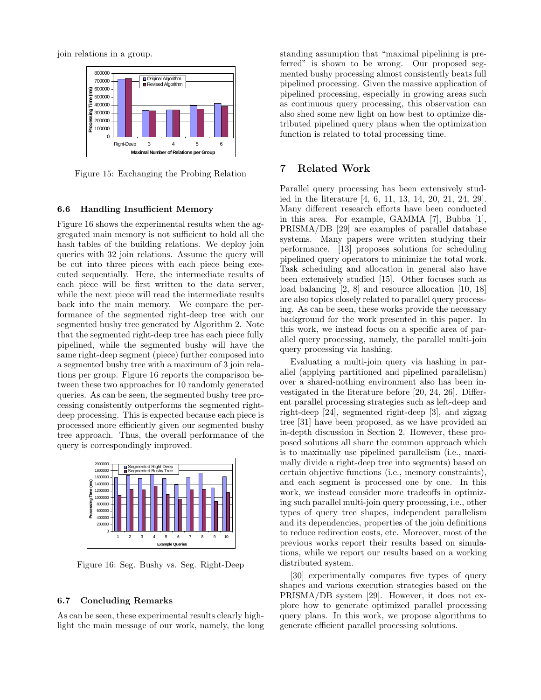join relations in a group.



Figure 15: Exchanging the Probing Relation

## 6.6 Handling Insufficient Memory

Figure 16 shows the experimental results when the aggregated main memory is not sufficient to hold all the hash tables of the building relations. We deploy join queries with 32 join relations. Assume the query will be cut into three pieces with each piece being executed sequentially. Here, the intermediate results of each piece will be first written to the data server, while the next piece will read the intermediate results back into the main memory. We compare the performance of the segmented right-deep tree with our segmented bushy tree generated by Algorithm 2. Note that the segmented right-deep tree has each piece fully pipelined, while the segmented bushy will have the same right-deep segment (piece) further composed into a segmented bushy tree with a maximum of 3 join relations per group. Figure 16 reports the comparison between these two approaches for 10 randomly generated queries. As can be seen, the segmented bushy tree processing consistently outperforms the segmented rightdeep processing. This is expected because each piece is processed more efficiently given our segmented bushy tree approach. Thus, the overall performance of the query is correspondingly improved.



Figure 16: Seg. Bushy vs. Seg. Right-Deep

## 6.7 Concluding Remarks

As can be seen, these experimental results clearly highlight the main message of our work, namely, the long standing assumption that "maximal pipelining is preferred" is shown to be wrong. Our proposed segmented bushy processing almost consistently beats full pipelined processing. Given the massive application of pipelined processing, especially in growing areas such as continuous query processing, this observation can also shed some new light on how best to optimize distributed pipelined query plans when the optimization function is related to total processing time.

# 7 Related Work

Parallel query processing has been extensively studied in the literature [4, 6, 11, 13, 14, 20, 21, 24, 29]. Many different research efforts have been conducted in this area. For example, GAMMA [7], Bubba [1], PRISMA/DB [29] are examples of parallel database systems. Many papers were written studying their performance. [13] proposes solutions for scheduling pipelined query operators to minimize the total work. Task scheduling and allocation in general also have been extensively studied [15]. Other focuses such as load balancing [2, 8] and resource allocation [10, 18] are also topics closely related to parallel query processing. As can be seen, these works provide the necessary background for the work presented in this paper. In this work, we instead focus on a specific area of parallel query processing, namely, the parallel multi-join query processing via hashing.

Evaluating a multi-join query via hashing in parallel (applying partitioned and pipelined parallelism) over a shared-nothing environment also has been investigated in the literature before [20, 24, 26]. Different parallel processing strategies such as left-deep and right-deep [24], segmented right-deep [3], and zigzag tree [31] have been proposed, as we have provided an in-depth discussion in Section 2. However, these proposed solutions all share the common approach which is to maximally use pipelined parallelism (i.e., maximally divide a right-deep tree into segments) based on certain objective functions (i.e., memory constraints), and each segment is processed one by one. In this work, we instead consider more tradeoffs in optimizing such parallel multi-join query processing, i.e., other types of query tree shapes, independent parallelism and its dependencies, properties of the join definitions to reduce redirection costs, etc. Moreover, most of the previous works report their results based on simulations, while we report our results based on a working distributed system.

[30] experimentally compares five types of query shapes and various execution strategies based on the PRISMA/DB system [29]. However, it does not explore how to generate optimized parallel processing query plans. In this work, we propose algorithms to generate efficient parallel processing solutions.